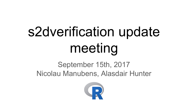# s2dverification update meeting

# September 15th, 2017 Nicolau Manubens, Alasdair Hunter

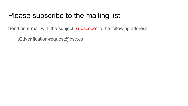### Please subscribe to the mailing list

Send an e-mail with the subject 'subscribe' to the following address:

s2dverification-request@bsc.es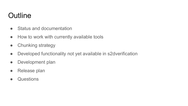# **Outline**

- Status and documentation
- How to work with currently available tools
- Chunking strategy
- Developed functionality not yet available in s2dverification
- Development plan
- Release plan
- Questions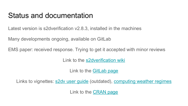### Status and documentation

Latest version is s2dverification v2.8.3, installed in the machines

Many developments ongoing, available on GitLab

EMS paper: received response. Trying to get it accepted with minor reviews

Link to the [s2dverification wiki](https://earth.bsc.es/wiki/doku.php?id=tools:s2dverification)

Link to the [GitLab page](https://earth.bsc.es/gitlab/es/s2dverification)

Links to vignettes: [s2dv user guide](https://earth.bsc.es/gitlab/es/s2dverification/blob/develop-vignettes/README.md) (outdated), [computing weather regimes](https://earth.bsc.es/gitlab/es/s2dverification/blob/develop-SeaIceModes/Vignette/Regimes.md)

Link to the [CRAN page](https://cran.r-project.org/web/packages/s2dverification/index.html)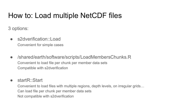3 options:

- s2dverification::Load Convenient for simple cases
- /shared/earth/software/scripts/LoadMembersChunks.R Convenient to load file per chunk per member data sets Compatible with s2dverification

● startR::Start

Convenient to load files with multiple regions, depth levels, on irregular grids… Can load file per chunk per member data sets Not compatible with s2dverification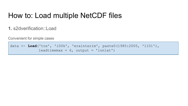**1.** s2dverification::Load

Convenient for simple cases

data <- **Load**('tos', 'i00k', 'erainterim', paste0(1985:2005, '1101'), leadtimemax =  $6$ , output = 'lonlat')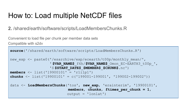**2.** /shared/earth/software/scripts/LoadMembersChunks.R

Convenient to load file per chunk per member data sets Compatible with s2dv

```
source('/shared/earth/software/scripts/LoadMembersChunks.R')
new exp <- paste0('/esarchive/exp/ecearth/t00p/monthly mean/',
                   ' $VAR_NAME$_f6h/$VAR_NAME$_Omon_EC-EARTH3_t00p_',
                   'S $START_DATE$_$MEMBER$_$CHUNK$.nc')
members <- list('19900101' = 'r1i1p1')
chunks <- list('19900101' = c('199001-199001', '199002-199002'))
data <- LoadMembersChunks('tos', new_exp, 'erainterim', '19900101',
                            members, chunks, ftimes_per_chunk = 1, 
                          output = 'lonlat')
```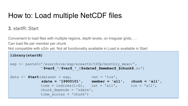### **3.** startR::Start

Convenient to load files with multiple regions, depth levels, on irregular grids, …

Can load file per member per chunk

Not compatible with s2dv yet. Not all functionality available in Load is available in Start

```
library(startR)
exp <- paste0('/esarchive/exp/ecearth/t00p/monthly mean/',
              ' $var$_*/$var$_*_S$sdate$_$member$_$chunk$.nc')
data \leq Start(dataset = exp, var = 'tos',
              sdate = '19900101', member = 'all', chunk = 'all',
             time = indices(1:6), lat = 'all', lon = 'all',
             chunk depends = 'sdate',
             time across = 'chunk')
```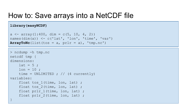### How to: Save arrays into a NetCDF file

**library(easyNCDF)**

```
a \le - array(1:400, dim = c(5, 10, 4, 2))
names(dim(a)) \leq c('lat', 'lon', 'time', 'var')
ArrayToNC(list(tos = a, prlr = a), 'tmp.nc')
```

```
> ncdump -h tmp.nc
netcdf tmp {
dimensions:
   lat = 5;
   lon = 10 ;
   time = UNLIMITED ; // (4 currently)
variables:
   float tos 1(time, lon, lat) ;
   float tos 2(time, lon, lat) ;
    float prlr 1(time, lon, lat) ;
    float prlr 2(time, lon, lat) ;
}
```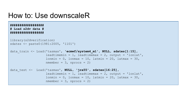### How to: Use downscaleR

#### **################## # Load s2dv data # ##################**

```
library(s2dverification)
sdates <- paste0(1981:2005, '1101')
```

```
data_train <- Load('tasmax', 'ecmwf/system4_m1', NULL, sdates[1:15],
                   leadtimemin = 1, leadtimemax = 2, output = 'lonlat',
                   lonmin = 0, lonmax = 10, latmin = 20, latmax = 30,
                   nmember = 3, nprocs = 2)
```

```
data_test <- Load('tasmax', NULL, 'jra55', sdates[16:25],
                  leadtimemin = 1, leadtimemax = 2, output = 'lonlat',
                   lonmin = 0, lonmax = 10, latmin = 20, latmax = 30,
                   nmember = 3, nprocs = 2)
```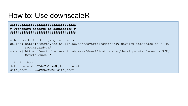### How to: Use downscaleR

#### **################################### # Transform objects to downscaleR # ###################################**

# Load code for bridging functions source('https://earth.bsc.es/gitlab/es/s2dverification/raw/develop-interface-downR/R/ DownRToS2dv.R') source('https://earth.bsc.es/gitlab/es/s2dverification/raw/develop-interface-downR/R/ S2dvToDownR.R')

# Apply them data\_train <- **S2dvToDownR**(data\_train) data test <- **S2dvToDownR**(data test)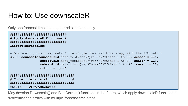### How to: Use downscaleR

Only one forecast time step supported simultaneously

```
##############################
# Apply downscaleR functions #
##############################
library(downscaleR)
# Downscaling obs + exp data for a single forecast time step, with the GLM method
ds <- downscale(subsetGrid(data_test$obs$"jra55"$"ftimes 1 to 2", season = 11),
                 subsetGrid(data_test$obs$"jra55"$"ftimes 1 to 2", season = 11),
                 subsetGrid(data_train$exp$"ecmwf"$"ftimes 1 to 2", season = 11),
                method = 'glm')##################################
```
**# Convert back to s2dv # ##################################** result <- **DownRToS2dv**(ds)

May develop Downscale() and BiasCorrect() functions in the future, which apply downscaleR functions to s2dverification arrays with multiple forecast time steps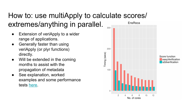#### How to: use multiApply to calculate scores/ extremes/anything in parallel. EnsRoca  $300 -$

- Extension of veriApply to a wider range of applications.
- Generally faster than using veriApply (or plyr functions) directly.
- Will be extended in the coming months to assist with the propagation of metadata
- See explanation, worked examples and some performance tests [here](https://docs.google.com/document/d/1moazFUMn-8kkMuwuX3d3CnbwTtt30kjMjMfiMf9cv5w/edit#).



Score function easvVerification s2dverification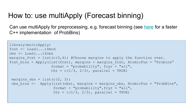### How to: use multiApply (Forecast binning)

Can use multiApply for preprocessing, e.g. forecast binning (see [here](https://earth.bsc.es/gitlab/es/s2dverification/tree/develop-AtomicProbBins) for a faster C++ implementation of ProbBins)

```
library(multiApply)
fcst \leq - Load(...) $mod
obs <- Load(...)$obs
margins fcst = list(c(3,4)) #Choose margins to apply the function over.
fcst bins = Apply(list(fcst), margins = margins fcst, AtomicFun = "Probins"
                   format = "probability", fcyr = "all",thr = c(1/3, 2/3), parallel = TRUE)
 margins obs = list(c(2, 3))obs bins \leq Apply(list(obs), margins = margins obs, AtomicFun = "ProbBins",
                    format = "probability", fcyr = "all",thr = c(1/3, 2/3), parallel = TRUE)
```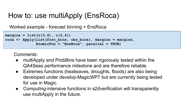## How to: use multiApply (EnsRoca)

Worked example - forecast binning + EnsRoca

```
margins = list(c(3,4), c(3,4))
roca <- Apply(list(fcst_bins, obs_bins), margins = margins, 
               AtomicFun = "EnsRoca", parallel = TRUE)
```
Comments:

- multiApply and ProbBins have been rigorously tested within the QA4Seas performance milestone and are therefore reliable.
- Extremes functions (heatwaves, droughts, floods) are also being developed under develop-MagicWP7 but are currently being tested for use in Magic.
- Computing-intensive functions in s2dverification will transparently use multiApply in the future.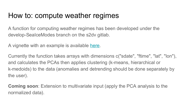### How to: compute weather regimes

A function for computing weather regimes has been developed under the develop-SeaIceModes branch on the s2dv gitlab.

A vignette with an example is available [here](https://earth.bsc.es/gitlab/es/s2dverification/blob/develop-SeaIceModes/Vignette/Regimes.md).

Currently the function takes arrays with dimensions c("sdate", "ftime", "lat", "lon"), and calculates the PCAs then applies clustering (k-means, hierarchical or k-medoids) to the data (anomalies and detrending should be done separately by the user).

**Coming soon**: Extension to multivariate input (apply the PCA analysis to the normalized data).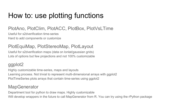# How to: use plotting functions

### PlotAno, PlotClim, PlotACC, PlotBox, PlotVsLTime

Useful for s2dverification time-series Hard to add components or customize

### PlotEquiMap, PlotStereoMap, PlotLayout

Useful for s2dverification maps (data on lonlat/gaussian grids) Lots of options but few projections and not 100% customizable

### ggplot2

Highly customizable time-series, maps and layouts Learning process. Not trivial to represent multi-dimensional arrays with ggplot2 PlotTimeSeries plots arrays that contain time-series using ggplot2

### **MapGenerator**

Department tool for python to draw maps. Highly customizable Will develop wrappers in the future to call MapGenerator from R. You can try using the rPython package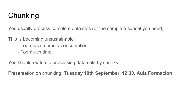# Chunking

You usually process complete data sets (or the complete subset you need)

This is becoming unsustainable

- Too much memory consumption
- Too much time

You should switch to processing data sets by chunks

Presentation on chunking, **Tuesday 19th September, 12:30, Aula Formación**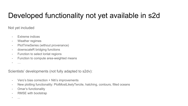# Developed functionality not yet available in s2d

Not yet included

- Extreme indices
- Weather regimes
- PlotTimeSeries (without provenance)
- downscaleR bridging functions
- Function to select lonlat regions
- Function to compute area-weighted means
- …

Scientists' developments (not fully adapted to s2dv):

- Vero's bias correction + Niti's improvements
- New plotting functionality: PlotMostLikelyTercile, hatching, contours, filled oceans
- Omar's functionality
- RMSE with bootstrap
- ...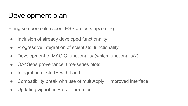### Development plan

Hiring someone else soon. ESS projects upcoming

- Inclusion of already developed functionality
- Progressive integration of scientists' functionality
- Development of MAGIC functionality (which functionality?)
- QA4Seas provenance, time-series plots
- Integration of startR with Load
- Compatibility break with use of multiApply + improved interface
- Updating vignettes + user formation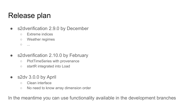### Release plan

- s2dverification 2.9.0 by December
	- Extreme indices
	- Weather regimes
	- $\circ$  ...
- s2dverification 2.10.0 by February
	- PlotTimeSeries with provenance
	- startR integrated into Load
- s2dv 3.0.0 by April
	- Clean interface
	- No need to know array dimension order

In the meantime you can use functionality available in the development branches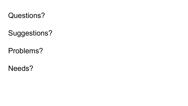

Suggestions?

Problems?

Needs?